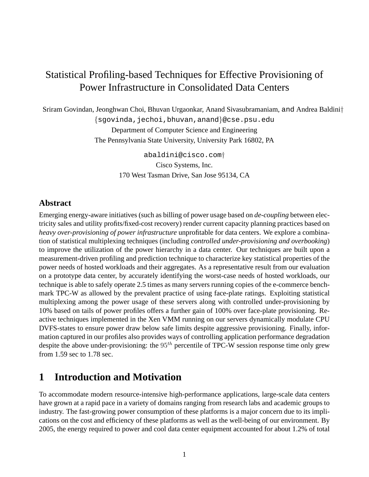# Statistical Profiling-based Techniques for Effective Provisioning of Power Infrastructure in Consolidated Data Centers

Sriram Govindan, Jeonghwan Choi, Bhuvan Urgaonkar, Anand Sivasubramaniam, and Andrea Baldini† {sgovinda,jechoi,bhuvan,anand}@cse.psu.edu Department of Computer Science and Engineering The Pennsylvania State University, University Park 16802, PA

> abaldini@cisco.com† Cisco Systems, Inc. 170 West Tasman Drive, San Jose 95134, CA

### **Abstract**

Emerging energy-aware initiatives (such as billing of power usage based on *de-coupling* between electricity sales and utility profits/fixed-cost recovery) render current capacity planning practices based on *heavy over-provisioning of power infrastructure* unprofitable for data centers. We explore a combination of statistical multiplexing techniques (including *controlled under-provisioning and overbooking*) to improve the utilization of the power hierarchy in a data center. Our techniques are built upon a measurement-driven profiling and prediction technique to characterize key statistical properties of the power needs of hosted workloads and their aggregates. As a representative result from our evaluation on a prototype data center, by accurately identifying the worst-case needs of hosted workloads, our technique is able to safely operate 2.5 times as many servers running copies of the e-commerce benchmark TPC-W as allowed by the prevalent practice of using face-plate ratings. Exploiting statistical multiplexing among the power usage of these servers along with controlled under-provisioning by 10% based on tails of power profiles offers a further gain of 100% over face-plate provisioning. Reactive techniques implemented in the Xen VMM running on our servers dynamically modulate CPU DVFS-states to ensure power draw below safe limits despite aggressive provisioning. Finally, information captured in our profiles also provides ways of controlling application performance degradation despite the above under-provisioning: the  $95<sup>th</sup>$  percentile of TPC-W session response time only grew from 1.59 sec to 1.78 sec.

## **1 Introduction and Motivation**

To accommodate modern resource-intensive high-performance applications, large-scale data centers have grown at a rapid pace in a variety of domains ranging from research labs and academic groups to industry. The fast-growing power consumption of these platforms is a major concern due to its implications on the cost and efficiency of these platforms as well as the well-being of our environment. By 2005, the energy required to power and cool data center equipment accounted for about 1.2% of total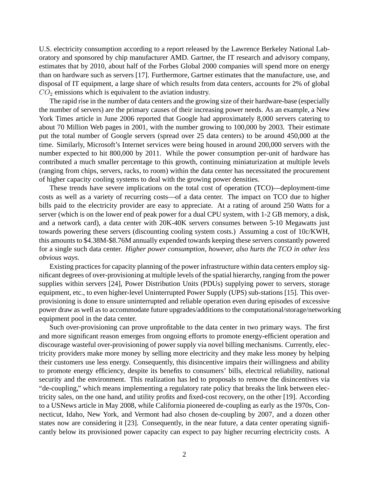U.S. electricity consumption according to a report released by the Lawrence Berkeley National Laboratory and sponsored by chip manufacturer AMD. Gartner, the IT research and advisory company, estimates that by 2010, about half of the Forbes Global 2000 companies will spend more on energy than on hardware such as servers [17]. Furthermore, Gartner estimates that the manufacture, use, and disposal of IT equipment, a large share of which results from data centers, accounts for 2% of global  $CO<sub>2</sub>$  emissions which is equivalent to the aviation industry.

The rapid rise in the number of data centers and the growing size of their hardware-base (especially the number of servers) are the primary causes of their increasing power needs. As an example, a New York Times article in June 2006 reported that Google had approximately 8,000 servers catering to about 70 Million Web pages in 2001, with the number growing to 100,000 by 2003. Their estimate put the total number of Google servers (spread over 25 data centers) to be around 450,000 at the time. Similarly, Microsoft's Internet services were being housed in around 200,000 servers with the number expected to hit 800,000 by 2011. While the power consumption per-unit of hardware has contributed a much smaller percentage to this growth, continuing miniaturization at multiple levels (ranging from chips, servers, racks, to room) within the data center has necessitated the procurement of higher capacity cooling systems to deal with the growing power densities.

These trends have severe implications on the total cost of operation (TCO)—deployment-time costs as well as a variety of recurring costs—of a data center. The impact on TCO due to higher bills paid to the electricity provider are easy to appreciate. At a rating of around 250 Watts for a server (which is on the lower end of peak power for a dual CPU system, with 1-2 GB memory, a disk, and a network card), a data center with 20K-40K servers consumes between 5-10 Megawatts just towards powering these servers (discounting cooling system costs.) Assuming a cost of 10c/KWH, this amounts to \$4.38M-\$8.76M annually expended towards keeping these servers constantly powered for a single such data center. *Higher power consumption, however, also hurts the TCO in other less obvious ways.*

Existing practices for capacity planning of the power infrastructure within data centers employ significant degrees of over-provisioning at multiple levels of the spatial hierarchy, ranging from the power supplies within servers [24], Power Distribution Units (PDUs) supplying power to servers, storage equipment, etc., to even higher-level Uninterrupted Power Supply (UPS) sub-stations [15]. This overprovisioning is done to ensure uninterrupted and reliable operation even during episodes of excessive power draw as well as to accommodate future upgrades/additions to the computational/storage/networking equipment pool in the data center.

Such over-provisioning can prove unprofitable to the data center in two primary ways. The first and more significant reason emerges from ongoing efforts to promote energy-efficient operation and discourage wasteful over-provisioning of power supply via novel billing mechanisms. Currently, electricity providers make more money by selling more electricity and they make less money by helping their customers use less energy. Consequently, this disincentive impairs their willingness and ability to promote energy efficiency, despite its benefits to consumers' bills, electrical reliability, national security and the environment. This realization has led to proposals to remove the disincentives via "de-coupling," which means implementing a regulatory rate policy that breaks the link between electricity sales, on the one hand, and utility profits and fixed-cost recovery, on the other [19]. According to a USNews article in May 2008, while California pioneered de-coupling as early as the 1970s, Connecticut, Idaho, New York, and Vermont had also chosen de-coupling by 2007, and a dozen other states now are considering it [23]. Consequently, in the near future, a data center operating significantly below its provisioned power capacity can expect to pay higher recurring electricity costs. A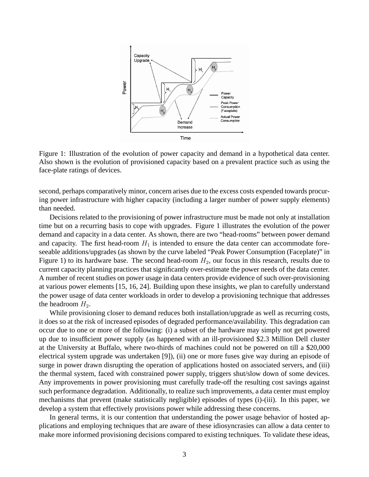

Figure 1: Illustration of the evolution of power capacity and demand in a hypothetical data center. Also shown is the evolution of provisioned capacity based on a prevalent practice such as using the face-plate ratings of devices.

second, perhaps comparatively minor, concern arises due to the excess costs expended towards procuring power infrastructure with higher capacity (including a larger number of power supply elements) than needed.

Decisions related to the provisioning of power infrastructure must be made not only at installation time but on a recurring basis to cope with upgrades. Figure 1 illustrates the evolution of the power demand and capacity in a data center. As shown, there are two "head-rooms" between power demand and capacity. The first head-room  $H_1$  is intended to ensure the data center can accommodate foreseeable additions/upgrades (as shown by the curve labeled "Peak Power Consumption (Faceplate)" in Figure 1) to its hardware base. The second head-room  $H_2$ , our focus in this research, results due to current capacity planning practices that significantly over-estimate the power needs of the data center. A number of recent studies on power usage in data centers provide evidence of such over-provisioning at various power elements [15, 16, 24]. Building upon these insights, we plan to carefully understand the power usage of data center workloads in order to develop a provisioning technique that addresses the headroom  $H_2$ .

While provisioning closer to demand reduces both installation/upgrade as well as recurring costs, it does so at the risk of increased episodes of degraded performance/availability. This degradation can occur due to one or more of the following: (i) a subset of the hardware may simply not get powered up due to insufficient power supply (as happened with an ill-provisioned \$2.3 Million Dell cluster at the University at Buffalo, where two-thirds of machines could not be powered on till a \$20,000 electrical system upgrade was undertaken [9]), (ii) one or more fuses give way during an episode of surge in power drawn disrupting the operation of applications hosted on associated servers, and (iii) the thermal system, faced with constrained power supply, triggers shut/slow down of some devices. Any improvements in power provisioning must carefully trade-off the resulting cost savings against such performance degradation. Additionally, to realize such improvements, a data center must employ mechanisms that prevent (make statistically negligible) episodes of types (i)-(iii). In this paper, we develop a system that effectively provisions power while addressing these concerns.

In general terms, it is our contention that understanding the power usage behavior of hosted applications and employing techniques that are aware of these idiosyncrasies can allow a data center to make more informed provisioning decisions compared to existing techniques. To validate these ideas,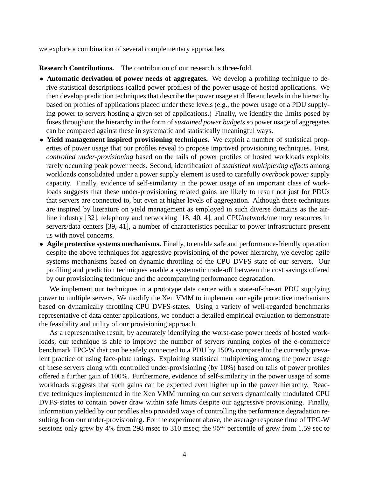we explore a combination of several complementary approaches.

**Research Contributions.** The contribution of our research is three-fold.

- **Automatic derivation of power needs of aggregates.** We develop a profiling technique to derive statistical descriptions (called power profiles) of the power usage of hosted applications. We then develop prediction techniques that describe the power usage at different levels in the hierarchy based on profiles of applications placed under these levels (e.g., the power usage of a PDU supplying power to servers hosting a given set of applications.) Finally, we identify the limits posed by fuses throughout the hierarchy in the form of *sustained power budgets* so power usage of aggregates can be compared against these in systematic and statistically meaningful ways.
- **Yield management inspired provisioning techniques.** We exploit a number of statistical properties of power usage that our profiles reveal to propose improved provisioning techniques. First, *controlled under-provisioning* based on the tails of power profiles of hosted workloads exploits rarely occurring peak power needs. Second, identification of *statistical multiplexing effects* among workloads consolidated under a power supply element is used to carefully *overbook* power supply capacity. Finally, evidence of self-similarity in the power usage of an important class of workloads suggests that these under-provisioning related gains are likely to result not just for PDUs that servers are connected to, but even at higher levels of aggregation. Although these techniques are inspired by literature on yield management as employed in such diverse domains as the airline industry [32], telephony and networking [18, 40, 4], and CPU/network/memory resources in servers/data centers [39, 41], a number of characteristics peculiar to power infrastructure present us with novel concerns.
- **Agile protective systems mechanisms.** Finally, to enable safe and performance-friendly operation despite the above techniques for aggressive provisioning of the power hierarchy, we develop agile systems mechanisms based on dynamic throttling of the CPU DVFS state of our servers. Our profiling and prediction techniques enable a systematic trade-off between the cost savings offered by our provisioning technique and the accompanying performance degradation.

We implement our techniques in a prototype data center with a state-of-the-art PDU supplying power to multiple servers. We modify the Xen VMM to implement our agile protective mechanisms based on dynamically throttling CPU DVFS-states. Using a variety of well-regarded benchmarks representative of data center applications, we conduct a detailed empirical evaluation to demonstrate the feasibility and utility of our provisioning approach.

As a representative result, by accurately identifying the worst-case power needs of hosted workloads, our technique is able to improve the number of servers running copies of the e-commerce benchmark TPC-W that can be safely connected to a PDU by 150% compared to the currently prevalent practice of using face-plate ratings. Exploiting statistical multiplexing among the power usage of these servers along with controlled under-provisioning (by 10%) based on tails of power profiles offered a further gain of 100%. Furthermore, evidence of self-similarity in the power usage of some workloads suggests that such gains can be expected even higher up in the power hierarchy. Reactive techniques implemented in the Xen VMM running on our servers dynamically modulated CPU DVFS-states to contain power draw within safe limits despite our aggressive provisioning. Finally, information yielded by our profiles also provided ways of controlling the performance degradation resulting from our under-provisioning. For the experiment above, the average response time of TPC-W sessions only grew by 4% from 298 msec to 310 msec; the  $95<sup>th</sup>$  percentile of grew from 1.59 sec to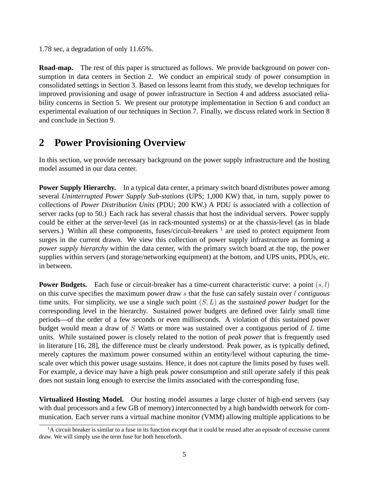1.78 sec, a degradation of only 11.65%.

**Road-map.** The rest of this paper is structured as follows. We provide background on power consumption in data centers in Section 2. We conduct an empirical study of power consumption in consolidated settings in Section 3. Based on lessons learnt from this study, we develop techniques for improved provisioning and usage of power infrastructure in Section 4 and address associated reliability concerns in Section 5. We present our prototype implementation in Section 6 and conduct an experimental evaluation of our techniques in Section 7. Finally, we discuss related work in Section 8 and conclude in Section 9.

# **2 Power Provisioning Overview**

In this section, we provide necessary background on the power supply infrastructure and the hosting model assumed in our data center.

**Power Supply Hierarchy.** In a typical data center, a primary switch board distributes power among several *Uninterrupted Power Supply Sub-stations* (UPS; 1,000 KW) that, in turn, supply power to collections of *Power Distribution Units* (PDU; 200 KW.) A PDU is associated with a collection of server racks (up to 50.) Each rack has several chassis that host the individual servers. Power supply could be either at the server-level (as in rack-mounted systems) or at the chassis-level (as in blade servers.) Within all these components, fuses/circuit-breakers  $<sup>1</sup>$  are used to protect equipment from</sup> surges in the current drawn. We view this collection of power supply infrastructure as forming a *power supply hierarchy* within the data center, with the primary switch board at the top, the power supplies within servers (and storage/networking equipment) at the bottom, and UPS units, PDUs, etc. in between.

**Power Budgets.** Each fuse or circuit-breaker has a time-current characteristic curve: a point  $(s, l)$ on this curve specifies the maximum power draw s that the fuse can safely sustain over l *contiguous* time units. For simplicity, we use a single such point (S,L) as the *sustained power budget* for the corresponding level in the hierarchy. Sustained power budgets are defined over fairly small time periods—of the order of a few seconds or even milliseconds. A violation of this sustained power budget would mean a draw of S Watts or more was sustained over a contiguous period of  $L$  time units. While sustained power is closely related to the notion of *peak power* that is frequently used in literature [16, 28], the difference must be clearly understood. Peak power, as is typically defined, merely captures the maximum power consumed within an entity/level without capturing the timescale over which this power usage sustains. Hence, it does not capture the limits posed by fuses well. For example, a device may have a high peak power consumption and still operate safely if this peak does not sustain long enough to exercise the limits associated with the corresponding fuse.

**Virtualized Hosting Model.** Our hosting model assumes a large cluster of high-end servers (say with dual processors and a few GB of memory) interconnected by a high bandwidth network for communication. Each server runs a virtual machine monitor (VMM) allowing multiple applications to be

 $<sup>1</sup>A$  circuit breaker is similar to a fuse in its function except that it could be reused after an episode of excessive current</sup> draw. We will simply use the term fuse for both henceforth.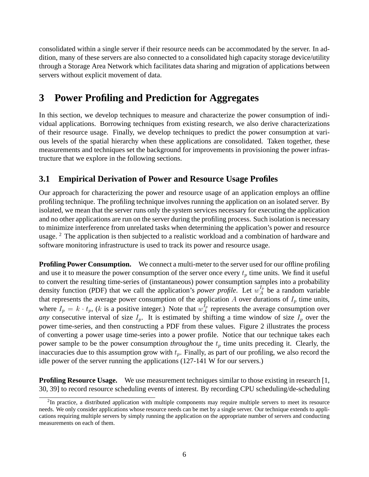consolidated within a single server if their resource needs can be accommodated by the server. In addition, many of these servers are also connected to a consolidated high capacity storage device/utility through a Storage Area Network which facilitates data sharing and migration of applications between servers without explicit movement of data.

# **3 Power Profiling and Prediction for Aggregates**

In this section, we develop techniques to measure and characterize the power consumption of individual applications. Borrowing techniques from existing research, we also derive characterizations of their resource usage. Finally, we develop techniques to predict the power consumption at various levels of the spatial hierarchy when these applications are consolidated. Taken together, these measurements and techniques set the background for improvements in provisioning the power infrastructure that we explore in the following sections.

### **3.1 Empirical Derivation of Power and Resource Usage Profiles**

Our approach for characterizing the power and resource usage of an application employs an offline profiling technique. The profiling technique involves running the application on an isolated server. By isolated, we mean that the server runs only the system services necessary for executing the application and no other applications are run on the server during the profiling process. Such isolation is necessary to minimize interference from unrelated tasks when determining the application's power and resource usage.  $2$  The application is then subjected to a realistic workload and a combination of hardware and software monitoring infrastructure is used to track its power and resource usage.

**Profiling Power Consumption.** We connect a multi-meter to the server used for our offline profiling and use it to measure the power consumption of the server once every  $t_p$  time units. We find it useful to convert the resulting time-series of (instantaneous) power consumption samples into a probability density function (PDF) that we call the application's *power profile*. Let  $w_A^{I_p}$  be a random variable that represents the average power consumption of the application A over durations of  $I_p$  time units, where  $I_p = k \cdot t_p$ , (k is a positive integer.) Note that  $w_A^{I_p}$  represents the average consumption over *any* consecutive interval of size  $I_p$ . It is estimated by shifting a time window of size  $I_p$  over the power time-series, and then constructing a PDF from these values. Figure 2 illustrates the process of converting a power usage time-series into a power profile. Notice that our technique takes each power sample to be the power consumption *throughout* the  $t_p$  time units preceding it. Clearly, the inaccuracies due to this assumption grow with  $t_p$ . Finally, as part of our profiling, we also record the idle power of the server running the applications (127-141 W for our servers.)

**Profiling Resource Usage.** We use measurement techniques similar to those existing in research [1, 30, 39] to record resource scheduling events of interest. By recording CPU scheduling/de-scheduling

 $2$ In practice, a distributed application with multiple components may require multiple servers to meet its resource needs. We only consider applications whose resource needs can be met by a single server. Our technique extends to applications requiring multiple servers by simply running the application on the appropriate number of servers and conducting measurements on each of them.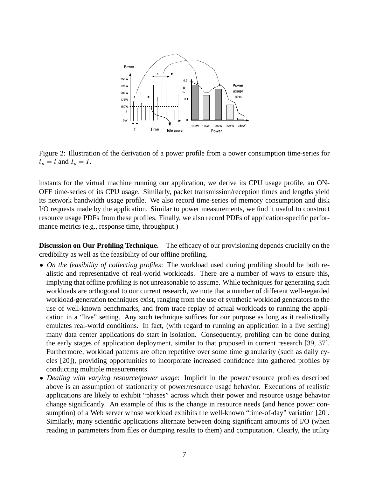

Figure 2: Illustration of the derivation of a power profile from a power consumption time-series for  $t_p = t$  and  $I_p = I$ .

instants for the virtual machine running our application, we derive its CPU usage profile, an ON-OFF time-series of its CPU usage. Similarly, packet transmission/reception times and lengths yield its network bandwidth usage profile. We also record time-series of memory consumption and disk I/O requests made by the application. Similar to power measurements, we find it useful to construct resource usage PDFs from these profiles. Finally, we also record PDFs of application-specific performance metrics (e.g., response time, throughput.)

**Discussion on Our Profiling Technique.** The efficacy of our provisioning depends crucially on the credibility as well as the feasibility of our offline profiling.

- *On the feasibility of collecting profiles*: The workload used during profiling should be both realistic and representative of real-world workloads. There are a number of ways to ensure this, implying that offline profiling is not unreasonable to assume. While techniques for generating such workloads are orthogonal to our current research, we note that a number of different well-regarded workload-generation techniques exist, ranging from the use of synthetic workload generators to the use of well-known benchmarks, and from trace replay of actual workloads to running the application in a "live" setting. Any such technique suffices for our purpose as long as it realistically emulates real-world conditions. In fact, (with regard to running an application in a live setting) many data center applications do start in isolation. Consequently, profiling can be done during the early stages of application deployment, similar to that proposed in current research [39, 37]. Furthermore, workload patterns are often repetitive over some time granularity (such as daily cycles [20]), providing opportunities to incorporate increased confidence into gathered profiles by conducting multiple measurements.
- *Dealing with varying resource/power usage*: Implicit in the power/resource profiles described above is an assumption of stationarity of power/resource usage behavior. Executions of realistic applications are likely to exhibit "phases" across which their power and resource usage behavior change significantly. An example of this is the change in resource needs (and hence power consumption) of a Web server whose workload exhibits the well-known "time-of-day" variation [20]. Similarly, many scientific applications alternate between doing significant amounts of I/O (when reading in parameters from files or dumping results to them) and computation. Clearly, the utility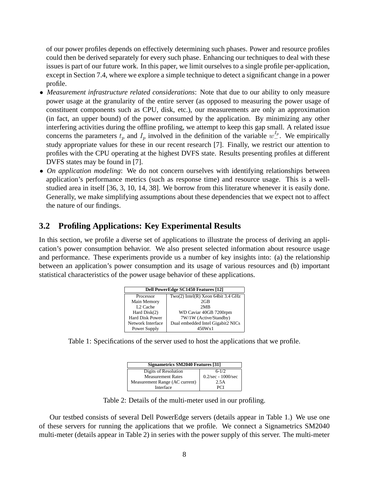of our power profiles depends on effectively determining such phases. Power and resource profiles could then be derived separately for every such phase. Enhancing our techniques to deal with these issues is part of our future work. In this paper, we limit ourselves to a single profile per-application, except in Section 7.4, where we explore a simple technique to detect a significant change in a power profile.

- *Measurement infrastructure related considerations*: Note that due to our ability to only measure power usage at the granularity of the entire server (as opposed to measuring the power usage of constituent components such as CPU, disk, etc.), our measurements are only an approximation (in fact, an upper bound) of the power consumed by the application. By minimizing any other interfering activities during the offline profiling, we attempt to keep this gap small. A related issue concerns the parameters  $t_p$  and  $I_p$  involved in the definition of the variable  $w_-^{I_p}$ . We empirically study appropriate values for these in our recent research [7]. Finally, we restrict our attention to profiles with the CPU operating at the highest DVFS state. Results presenting profiles at different DVFS states may be found in [7].
- *On application modeling*: We do not concern ourselves with identifying relationships between application's performance metrics (such as response time) and resource usage. This is a wellstudied area in itself [36, 3, 10, 14, 38]. We borrow from this literature whenever it is easily done. Generally, we make simplifying assumptions about these dependencies that we expect not to affect the nature of our findings.

### **3.2 Profiling Applications: Key Experimental Results**

In this section, we profile a diverse set of applications to illustrate the process of deriving an application's power consumption behavior. We also present selected information about resource usage and performance. These experiments provide us a number of key insights into: (a) the relationship between an application's power consumption and its usage of various resources and (b) important statistical characteristics of the power usage behavior of these applications.

| <b>Dell PowerEdge SC1450 Features [12]</b> |                                    |  |  |
|--------------------------------------------|------------------------------------|--|--|
| Processor                                  | Two(2) Intel(R) Xeon 64bit 3.4 GHz |  |  |
| Main Memory                                | $2$ GB                             |  |  |
| L <sub>2</sub> Cache                       | 2MR                                |  |  |
| Hard Disk(2)                               | WD Caviar 40GB 7200rpm             |  |  |
| Hard Disk Power                            | 7W/1W (Active/Standby)             |  |  |
| Network Interface                          | Dual embedded Intel Gigabit2 NICs  |  |  |
| Power Supply                               | 450Wx1                             |  |  |

Table 1: Specifications of the server used to host the applications that we profile.

| Signametrics SM2040 Features [31] |                                    |  |  |
|-----------------------------------|------------------------------------|--|--|
| Digits of Resolution<br>$6 - 1/2$ |                                    |  |  |
| <b>Measurement Rates</b>          | $0.2/\text{sec} - 1000/\text{sec}$ |  |  |
| Measurement Range (AC current)    | 2.5A                               |  |  |
| Interface                         | PCI                                |  |  |

Table 2: Details of the multi-meter used in our profiling.

Our testbed consists of several Dell PowerEdge servers (details appear in Table 1.) We use one of these servers for running the applications that we profile. We connect a Signametrics SM2040 multi-meter (details appear in Table 2) in series with the power supply of this server. The multi-meter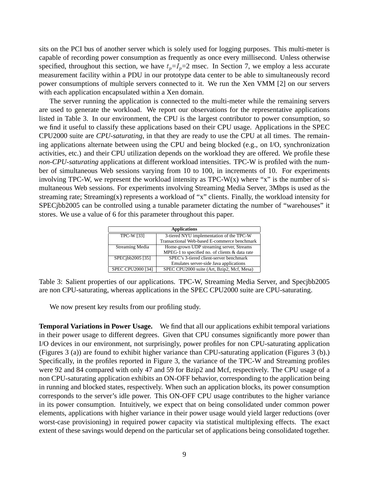sits on the PCI bus of another server which is solely used for logging purposes. This multi-meter is capable of recording power consumption as frequently as once every millisecond. Unless otherwise specified, throughout this section, we have  $t_p = I_p = 2$  msec. In Section 7, we employ a less accurate measurement facility within a PDU in our prototype data center to be able to simultaneously record power consumptions of multiple servers connected to it. We run the Xen VMM [2] on our servers with each application encapsulated within a Xen domain.

The server running the application is connected to the multi-meter while the remaining servers are used to generate the workload. We report our observations for the representative applications listed in Table 3. In our environment, the CPU is the largest contributor to power consumption, so we find it useful to classify these applications based on their CPU usage. Applications in the SPEC CPU2000 suite are *CPU-saturating*, in that they are ready to use the CPU at all times. The remaining applications alternate between using the CPU and being blocked (e.g., on I/O, synchronization activities, etc.) and their CPU utilization depends on the workload they are offered. We profile these *non-CPU-saturating* applications at different workload intensities. TPC-W is profiled with the number of simultaneous Web sessions varying from 10 to 100, in increments of 10. For experiments involving TPC-W, we represent the workload intensity as  $TPC-W(x)$  where "x" is the number of simultaneous Web sessions. For experiments involving Streaming Media Server, 3Mbps is used as the streaming rate; Streaming(x) represents a workload of "x" clients. Finally, the workload intensity for SPECjbb2005 can be controlled using a tunable parameter dictating the number of "warehouses" it stores. We use a value of 6 for this parameter throughout this paper.

| <b>Applications</b>      |                                                |  |  |
|--------------------------|------------------------------------------------|--|--|
| <b>TPC-W [33]</b>        | 3-tiered NYU implementation of the TPC-W       |  |  |
|                          | Transactional Web-based E-commerce benchmark   |  |  |
| Streaming Media          | Home-grown UDP streaming server, Streams       |  |  |
|                          | MPEG-1 to specified no. of clients & data rate |  |  |
| SPECibb2005 [35]         | SPEC's 3-tiered client-server benchmark        |  |  |
|                          | Emulates server-side Java applications         |  |  |
| <b>SPEC CPU2000 [34]</b> | SPEC CPU2000 suite (Art, Bzip2, Mcf, Mesa)     |  |  |

Table 3: Salient properties of our applications. TPC-W, Streaming Media Server, and Specjbb2005 are non CPU-saturating, whereas applications in the SPEC CPU2000 suite are CPU-saturating.

We now present key results from our profiling study.

**Temporal Variations in Power Usage.** We find that all our applications exhibit temporal variations in their power usage to different degrees. Given that CPU consumes significantly more power than I/O devices in our environment, not surprisingly, power profiles for non CPU-saturating application (Figures 3 (a)) are found to exhibit higher variance than CPU-saturating application (Figures 3 (b).) Specifically, in the profiles reported in Figure 3, the variance of the TPC-W and Streaming profiles were 92 and 84 compared with only 47 and 59 for Bzip2 and Mcf, respectively. The CPU usage of a non CPU-saturating application exhibits an ON-OFF behavior, corresponding to the application being in running and blocked states, respectively. When such an application blocks, its power consumption corresponds to the server's idle power. This ON-OFF CPU usage contributes to the higher variance in its power consumption. Intuitively, we expect that on being consolidated under common power elements, applications with higher variance in their power usage would yield larger reductions (over worst-case provisioning) in required power capacity via statistical multiplexing effects. The exact extent of these savings would depend on the particular set of applications being consolidated together.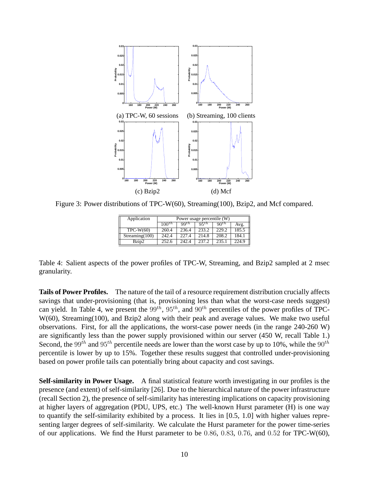

Figure 3: Power distributions of TPC-W(60), Streaming(100), Bzip2, and Mcf compared.

| Application    | Power usage percentile (W)                                                       |       |       |       |       |  |
|----------------|----------------------------------------------------------------------------------|-------|-------|-------|-------|--|
|                | 95 <sup>th</sup><br>$100^{th}$<br>$90^{th}$<br>$\mathbf{q}\mathbf{q}$ th<br>Avg. |       |       |       |       |  |
| $TPC-W(60)$    | 260.4                                                                            | 236.4 | 233.2 | 229.2 | 185.5 |  |
| Streaming(100) | 242.4                                                                            | 227.4 | 214.8 | 208.2 | 184.1 |  |
| Bzip2          | 252.6                                                                            | 242.4 | 237.2 | 235.1 | 224.9 |  |

Table 4: Salient aspects of the power profiles of TPC-W, Streaming, and Bzip2 sampled at 2 msec granularity.

**Tails of Power Profiles.** The nature of the tail of a resource requirement distribution crucially affects savings that under-provisioning (that is, provisioning less than what the worst-case needs suggest) can yield. In Table 4, we present the  $99^{th}$ ,  $95^{th}$ , and  $90^{th}$  percentiles of the power profiles of TPC-W(60), Streaming(100), and Bzip2 along with their peak and average values. We make two useful observations. First, for all the applications, the worst-case power needs (in the range 240-260 W) are significantly less than the power supply provisioned within our server (450 W, recall Table 1.) Second, the 99<sup>th</sup> and 95<sup>th</sup> percentile needs are lower than the worst case by up to 10%, while the 90<sup>th</sup> percentile is lower by up to 15%. Together these results suggest that controlled under-provisioning based on power profile tails can potentially bring about capacity and cost savings.

**Self-similarity in Power Usage.** A final statistical feature worth investigating in our profiles is the presence (and extent) of self-similarity [26]. Due to the hierarchical nature of the power infrastructure (recall Section 2), the presence of self-similarity has interesting implications on capacity provisioning at higher layers of aggregation (PDU, UPS, etc.) The well-known Hurst parameter (H) is one way to quantify the self-similarity exhibited by a process. It lies in [0.5, 1.0] with higher values representing larger degrees of self-similarity. We calculate the Hurst parameter for the power time-series of our applications. We find the Hurst parameter to be  $0.86, 0.83, 0.76,$  and  $0.52$  for TPC-W(60),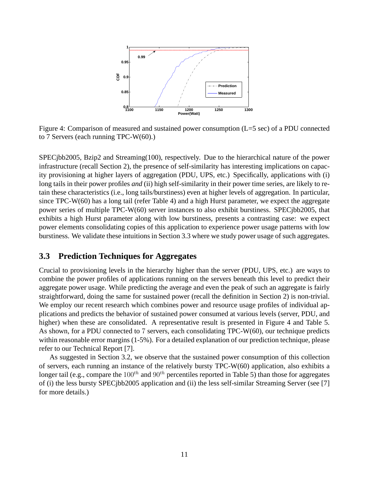

Figure 4: Comparison of measured and sustained power consumption (L=5 sec) of a PDU connected to 7 Servers (each running TPC-W(60).)

SPECjbb2005, Bzip2 and Streaming(100), respectively. Due to the hierarchical nature of the power infrastructure (recall Section 2), the presence of self-similarity has interesting implications on capacity provisioning at higher layers of aggregation (PDU, UPS, etc.) Specifically, applications with (i) long tails in their power profiles *and* (ii) high self-similarity in their power time series, are likely to retain these characteristics (i.e., long tails/burstiness) even at higher levels of aggregation. In particular, since  $TPC-W(60)$  has a long tail (refer Table 4) and a high Hurst parameter, we expect the aggregate power series of multiple TPC-W(60) server instances to also exhibit burstiness. SPECjbb2005, that exhibits a high Hurst parameter along with low burstiness, presents a contrasting case: we expect power elements consolidating copies of this application to experience power usage patterns with low burstiness. We validate these intuitions in Section 3.3 where we study power usage of such aggregates.

#### **3.3 Prediction Techniques for Aggregates**

Crucial to provisioning levels in the hierarchy higher than the server (PDU, UPS, etc.) are ways to combine the power profiles of applications running on the servers beneath this level to predict their aggregate power usage. While predicting the average and even the peak of such an aggregate is fairly straightforward, doing the same for sustained power (recall the definition in Section 2) is non-trivial. We employ our recent research which combines power and resource usage profiles of individual applications and predicts the behavior of sustained power consumed at various levels (server, PDU, and higher) when these are consolidated. A representative result is presented in Figure 4 and Table 5. As shown, for a PDU connected to 7 servers, each consolidating TPC-W(60), our technique predicts within reasonable error margins (1-5%). For a detailed explanation of our prediction technique, please refer to our Technical Report [7].

As suggested in Section 3.2, we observe that the sustained power consumption of this collection of servers, each running an instance of the relatively bursty TPC-W(60) application, also exhibits a longer tail (e.g., compare the  $100^{th}$  and  $90^{th}$  percentiles reported in Table 5) than those for aggregates of (i) the less bursty SPECjbb2005 application and (ii) the less self-similar Streaming Server (see [7] for more details.)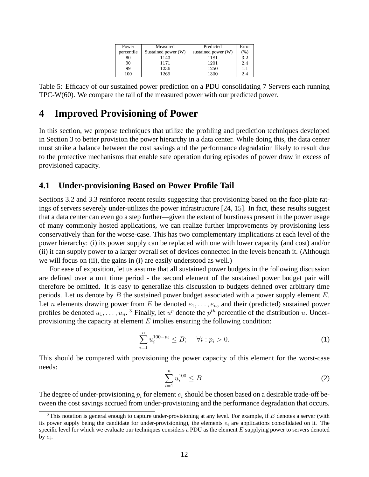| Power      | Measured            | Predicted           | Error |
|------------|---------------------|---------------------|-------|
| percentile | Sustained power (W) | sustained power (W) | $\%$  |
| 80         | 1143                | 1181                | 3.2   |
| 90         | 1171                | 1201                | 2.4   |
| 99         | 1236                | 1250                | 1.1   |
| 100        | 1269                | 1300                | 2.4   |

Table 5: Efficacy of our sustained power prediction on a PDU consolidating 7 Servers each running TPC-W(60). We compare the tail of the measured power with our predicted power.

## **4 Improved Provisioning of Power**

In this section, we propose techniques that utilize the profiling and prediction techniques developed in Section 3 to better provision the power hierarchy in a data center. While doing this, the data center must strike a balance between the cost savings and the performance degradation likely to result due to the protective mechanisms that enable safe operation during episodes of power draw in excess of provisioned capacity.

#### **4.1 Under-provisioning Based on Power Profile Tail**

Sections 3.2 and 3.3 reinforce recent results suggesting that provisioning based on the face-plate ratings of servers severely under-utilizes the power infrastructure [24, 15]. In fact, these results suggest that a data center can even go a step further—given the extent of burstiness present in the power usage of many commonly hosted applications, we can realize further improvements by provisioning less conservatively than for the worse-case. This has two complementary implications at each level of the power hierarchy: (i) its power supply can be replaced with one with lower capacity (and cost) and/or (ii) it can supply power to a larger overall set of devices connected in the levels beneath it. (Although we will focus on (ii), the gains in (i) are easily understood as well.)

For ease of exposition, let us assume that all sustained power budgets in the following discussion are defined over a unit time period - the second element of the sustained power budget pair will therefore be omitted. It is easy to generalize this discussion to budgets defined over arbitrary time periods. Let us denote by  $B$  the sustained power budget associated with a power supply element  $E$ . Let *n* elements drawing power from E be denoted  $e_1, \ldots, e_n$ , and their (predicted) sustained power profiles be denoted  $u_1, \ldots, u_n$ .<sup>3</sup> Finally, let  $u^p$  denote the  $p^{th}$  percentile of the distribution u. Underprovisioning the capacity at element  $E$  implies ensuring the following condition:

$$
\sum_{i=1}^{n} u_i^{100-p_i} \le B; \quad \forall i : p_i > 0.
$$
 (1)

This should be compared with provisioning the power capacity of this element for the worst-case needs:

$$
\sum_{i=1}^{n} u_i^{100} \le B.
$$
 (2)

The degree of under-provisioning  $p_i$  for element  $e_i$  should be chosen based on a desirable trade-off between the cost savings accrued from under-provisioning and the performance degradation that occurs.

 $3$ This notation is general enough to capture under-provisioning at any level. For example, if E denotes a server (with its power supply being the candidate for under-provisioning), the elements  $e_i$  are applications consolidated on it. The specific level for which we evaluate our techniques considers a PDU as the element  $E$  supplying power to servers denoted by  $e_i$ .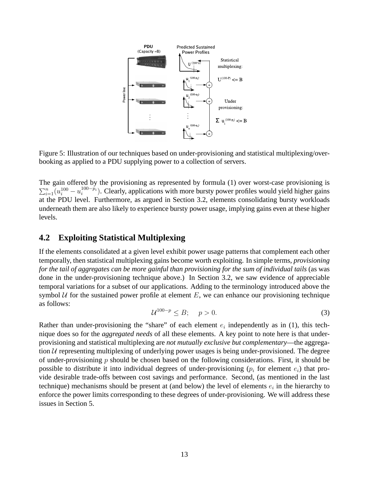

Figure 5: Illustration of our techniques based on under-provisioning and statistical multiplexing/overbooking as applied to a PDU supplying power to a collection of servers.

The gain offered by the provisioning as represented by formula (1) over worst-case provisioning is  $\sum_{i=1}^{n} (u_i^{100} - u_i^{100-p_i})$ . Clearly, applications with more bursty power profiles would yield higher gains at the PDU level. Furthermore, as argued in Section 3.2, elements consolidating bursty workloads underneath them are also likely to experience bursty power usage, implying gains even at these higher levels.

### **4.2 Exploiting Statistical Multiplexing**

If the elements consolidated at a given level exhibit power usage patterns that complement each other temporally, then statistical multiplexing gains become worth exploiting. In simple terms, *provisioning for the tail of aggregates can be more gainful than provisioning for the sum of individual tails* (as was done in the under-provisioning technique above.) In Section 3.2, we saw evidence of appreciable temporal variations for a subset of our applications. Adding to the terminology introduced above the symbol  $U$  for the sustained power profile at element  $E$ , we can enhance our provisioning technique as follows:

$$
\mathcal{U}^{100-p} \leq B; \quad p > 0. \tag{3}
$$

Rather than under-provisioning the "share" of each element  $e_i$  independently as in (1), this technique does so for the *aggregated needs* of all these elements. A key point to note here is that underprovisioning and statistical multiplexing are *not mutually exclusive but complementary*—the aggregation  $U$  representing multiplexing of underlying power usages is being under-provisioned. The degree of under-provisioning  $p$  should be chosen based on the following considerations. First, it should be possible to distribute it into individual degrees of under-provisioning  $(p_i$  for element  $e_i$ ) that provide desirable trade-offs between cost savings and performance. Second, (as mentioned in the last technique) mechanisms should be present at (and below) the level of elements  $e_i$  in the hierarchy to enforce the power limits corresponding to these degrees of under-provisioning. We will address these issues in Section 5.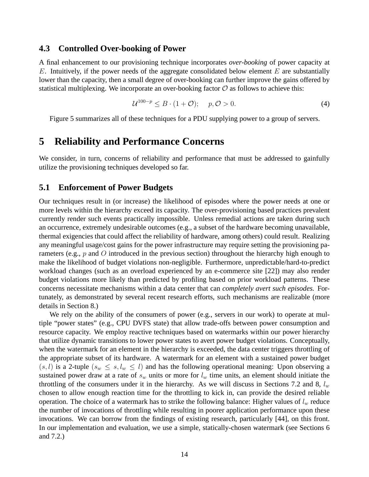#### **4.3 Controlled Over-booking of Power**

A final enhancement to our provisioning technique incorporates *over-booking* of power capacity at  $E$ . Intuitively, if the power needs of the aggregate consolidated below element  $E$  are substantially lower than the capacity, then a small degree of over-booking can further improve the gains offered by statistical multiplexing. We incorporate an over-booking factor  $\mathcal O$  as follows to achieve this:

$$
\mathcal{U}^{100-p} \le B \cdot (1+\mathcal{O}); \quad p, \mathcal{O} > 0. \tag{4}
$$

Figure 5 summarizes all of these techniques for a PDU supplying power to a group of servers.

### **5 Reliability and Performance Concerns**

We consider, in turn, concerns of reliability and performance that must be addressed to gainfully utilize the provisioning techniques developed so far.

#### **5.1 Enforcement of Power Budgets**

Our techniques result in (or increase) the likelihood of episodes where the power needs at one or more levels within the hierarchy exceed its capacity. The over-provisioning based practices prevalent currently render such events practically impossible. Unless remedial actions are taken during such an occurrence, extremely undesirable outcomes (e.g., a subset of the hardware becoming unavailable, thermal exigencies that could affect the reliability of hardware, among others) could result. Realizing any meaningful usage/cost gains for the power infrastructure may require setting the provisioning parameters (e.g., p and O introduced in the previous section) throughout the hierarchy high enough to make the likelihood of budget violations non-negligible. Furthermore, unpredictable/hard-to-predict workload changes (such as an overload experienced by an e-commerce site [22]) may also render budget violations more likely than predicted by profiling based on prior workload patterns. These concerns necessitate mechanisms within a data center that can *completely avert such episodes.* Fortunately, as demonstrated by several recent research efforts, such mechanisms are realizable (more details in Section 8.)

We rely on the ability of the consumers of power (e.g., servers in our work) to operate at multiple "power states" (e.g., CPU DVFS state) that allow trade-offs between power consumption and resource capacity. We employ reactive techniques based on watermarks within our power hierarchy that utilize dynamic transitions to lower power states to avert power budget violations. Conceptually, when the watermark for an element in the hierarchy is exceeded, the data center triggers throttling of the appropriate subset of its hardware. A watermark for an element with a sustained power budget  $(s, l)$  is a 2-tuple  $(s_w \leq s, l_w \leq l)$  and has the following operational meaning: Upon observing a sustained power draw at a rate of  $s_w$  units or more for  $l_w$  time units, an element should initiate the throttling of the consumers under it in the hierarchy. As we will discuss in Sections 7.2 and 8,  $l_w$ chosen to allow enough reaction time for the throttling to kick in, can provide the desired reliable operation. The choice of a watermark has to strike the following balance: Higher values of  $l_w$  reduce the number of invocations of throttling while resulting in poorer application performance upon these invocations. We can borrow from the findings of existing research, particularly [44], on this front. In our implementation and evaluation, we use a simple, statically-chosen watermark (see Sections 6 and 7.2.)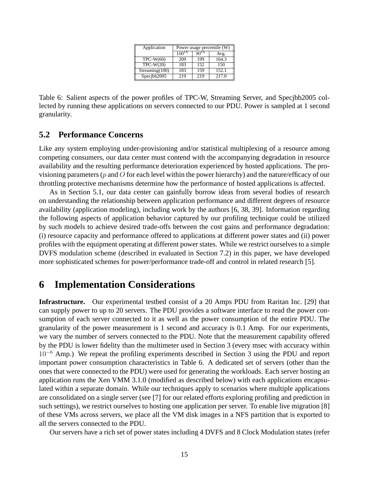| Application    | Power usage percentile (W)                                |     |       |  |
|----------------|-----------------------------------------------------------|-----|-------|--|
|                | $10\overline{0}^{\overline{t}\hbar}$<br>$90^{th}$<br>Avg. |     |       |  |
| $TPC-W(60)$    | 209                                                       | 199 | 164.3 |  |
| $TPC-W(20)$    | 183                                                       | 152 | 150   |  |
| Streaming(100) | 183                                                       | 159 | 152.1 |  |
| Specjbb $2005$ | 219                                                       | 219 | 217.0 |  |

Table 6: Salient aspects of the power profiles of TPC-W, Streaming Server, and Specjbb2005 collected by running these applications on servers connected to our PDU. Power is sampled at 1 second granularity.

#### **5.2 Performance Concerns**

Like any system employing under-provisioning and/or statistical multiplexing of a resource among competing consumers, our data center must contend with the accompanying degradation in resource availability and the resulting performance deterioration experienced by hosted applications. The provisioning parameters ( $p$  and  $\overline{O}$  for each level within the power hierarchy) and the nature/efficacy of our throttling protective mechanisms determine how the performance of hosted applications is affected.

As in Section 5.1, our data center can gainfully borrow ideas from several bodies of research on understanding the relationship between application performance and different degrees of resource availability (application modeling), including work by the authors [6, 38, 39]. Information regarding the following aspects of application behavior captured by our profiling technique could be utilized by such models to achieve desired trade-offs between the cost gains and performance degradation: (i) resource capacity and performance offered to applications at different power states and (ii) power profiles with the equipment operating at different power states. While we restrict ourselves to a simple DVFS modulation scheme (described in evaluated in Section 7.2) in this paper, we have developed more sophisticated schemes for power/performance trade-off and control in related research [5].

## **6 Implementation Considerations**

**Infrastructure.** Our experimental testbed consist of a 20 Amps PDU from Raritan Inc. [29] that can supply power to up to 20 servers. The PDU provides a software interface to read the power consumption of each server connected to it as well as the power consumption of the entire PDU. The granularity of the power measurement is 1 second and accuracy is 0.1 Amp. For our experiments, we vary the number of servers connected to the PDU. Note that the measurement capability offered by the PDU is lower fidelity than the multimeter used in Section 3 (every msec with accuracy within  $10^{-6}$  Amp.) We repeat the profiling experiments described in Section 3 using the PDU and report important power consumption characteristics in Table 6. A dedicated set of servers (other than the ones that were connected to the PDU) were used for generating the workloads. Each server hosting an application runs the Xen VMM 3.1.0 (modified as described below) with each applications encapsulated within a separate domain. While our techniques apply to scenarios where multiple applications are consolidated on a single server (see [7] for our related efforts exploring profiling and prediction in such settings), we restrict ourselves to hosting one application per server. To enable live migration [8] of these VMs across servers, we place all the VM disk images in a NFS partition that is exported to all the servers connected to the PDU.

Our servers have a rich set of power states including 4 DVFS and 8 Clock Modulation states (refer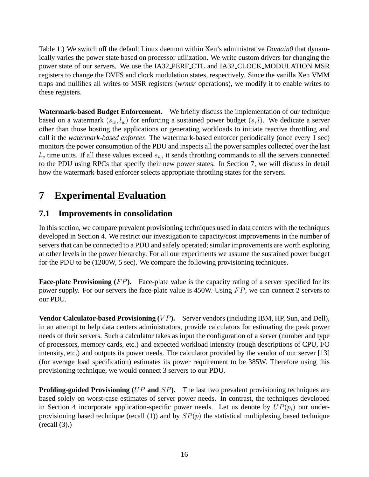Table 1.) We switch off the default Linux daemon within Xen's administrative *Domain0* that dynamically varies the power state based on processor utilization. We write custom drivers for changing the power state of our servers. We use the IA32 PERF CTL and IA32 CLOCK MODULATION MSR registers to change the DVFS and clock modulation states, respectively. Since the vanilla Xen VMM traps and nullifies all writes to MSR registers (*wrmsr* operations), we modify it to enable writes to these registers.

**Watermark-based Budget Enforcement.** We briefly discuss the implementation of our technique based on a watermark  $(s_w, l_w)$  for enforcing a sustained power budget  $(s, l)$ . We dedicate a server other than those hosting the applications or generating workloads to initiate reactive throttling and call it the *watermark-based enforcer.* The watermark-based enforcer periodically (once every 1 sec) monitors the power consumption of the PDU and inspects all the power samples collected over the last  $l_w$  time units. If all these values exceed  $s_w$ , it sends throttling commands to all the servers connected to the PDU using RPCs that specify their new power states. In Section 7, we will discuss in detail how the watermark-based enforcer selects appropriate throttling states for the servers.

# **7 Experimental Evaluation**

### **7.1 Improvements in consolidation**

In this section, we compare prevalent provisioning techniques used in data centers with the techniques developed in Section 4. We restrict our investigation to capacity/cost improvements in the number of servers that can be connected to a PDU and safely operated; similar improvements are worth exploring at other levels in the power hierarchy. For all our experiments we assume the sustained power budget for the PDU to be (1200W, 5 sec). We compare the following provisioning techniques.

**Face-plate Provisioning** (FP). Face-plate value is the capacity rating of a server specified for its power supply. For our servers the face-plate value is 450W. Using  $FP$ , we can connect 2 servers to our PDU.

**Vendor Calculator-based Provisioning** (VP). Server vendors (including IBM, HP, Sun, and Dell), in an attempt to help data centers administrators, provide calculators for estimating the peak power needs of their servers. Such a calculator takes as input the configuration of a server (number and type of processors, memory cards, etc.) and expected workload intensity (rough descriptions of CPU, I/O intensity, etc.) and outputs its power needs. The calculator provided by the vendor of our server [13] (for average load specification) estimates its power requirement to be 385W. Therefore using this provisioning technique, we would connect 3 servers to our PDU.

**Profiling-guided Provisioning** (UP **and** SP). The last two prevalent provisioning techniques are based solely on worst-case estimates of server power needs. In contrast, the techniques developed in Section 4 incorporate application-specific power needs. Let us denote by  $UP(p_i)$  our underprovisioning based technique (recall (1)) and by  $SP(p)$  the statistical multiplexing based technique  $(recall (3))$ .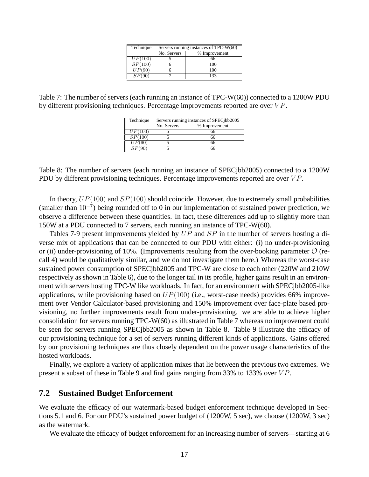| Technique            | Servers running instances of TPC-W(60) |         |  |  |
|----------------------|----------------------------------------|---------|--|--|
|                      | No. Servers<br>% Improvement           |         |  |  |
| $\overline{UP(100)}$ |                                        | 66      |  |  |
| SP(100)              |                                        | 100     |  |  |
| UP(90)               |                                        | 100     |  |  |
|                      |                                        | $133 -$ |  |  |

Table 7: The number of servers (each running an instance of TPC-W(60)) connected to a 1200W PDU by different provisioning techniques. Percentage improvements reported are over  $VP$ .

| Technique | Servers running instances of SPEC jbb2005 |    |  |
|-----------|-------------------------------------------|----|--|
|           | No. Servers<br>% Improvement              |    |  |
| UP(100)   |                                           | 66 |  |
| SP(100)   |                                           | 66 |  |
| UP(90)    |                                           | 66 |  |
| SP(90)    |                                           | 66 |  |

Table 8: The number of servers (each running an instance of SPECjbb2005) connected to a 1200W PDU by different provisioning techniques. Percentage improvements reported are over  $VP$ .

In theory,  $UP(100)$  and  $SP(100)$  should coincide. However, due to extremely small probabilities (smaller than  $10^{-7}$ ) being rounded off to 0 in our implementation of sustained power prediction, we observe a difference between these quantities. In fact, these differences add up to slightly more than 150W at a PDU connected to 7 servers, each running an instance of TPC-W(60).

Tables 7-9 present improvements yielded by UP and SP in the number of servers hosting a diverse mix of applications that can be connected to our PDU with either: (i) no under-provisioning or (ii) under-provisioning of 10%. (Improvements resulting from the over-booking parameter  $\mathcal{O}$  (recall 4) would be qualitatively similar, and we do not investigate them here.) Whereas the worst-case sustained power consumption of SPECjbb2005 and TPC-W are close to each other (220W and 210W respectively as shown in Table 6), due to the longer tail in its profile, higher gains result in an environment with servers hosting TPC-W like workloads. In fact, for an environment with SPECjbb2005-like applications, while provisioning based on  $UP(100)$  (i.e., worst-case needs) provides 66% improvement over Vendor Calculator-based provisioning and 150% improvement over face-plate based provisioning, no further improvements result from under-provisioning. we are able to achieve higher consolidation for servers running TPC-W(60) as illustrated in Table 7 whereas no improvement could be seen for servers running SPECjbb2005 as shown in Table 8. Table 9 illustrate the efficacy of our provisioning technique for a set of servers running different kinds of applications. Gains offered by our provisioning techniques are thus closely dependent on the power usage characteristics of the hosted workloads.

Finally, we explore a variety of application mixes that lie between the previous two extremes. We present a subset of these in Table 9 and find gains ranging from 33% to 133% over  $VP$ .

#### **7.2 Sustained Budget Enforcement**

We evaluate the efficacy of our watermark-based budget enforcement technique developed in Sections 5.1 and 6. For our PDU's sustained power budget of (1200W, 5 sec), we choose (1200W, 3 sec) as the watermark.

We evaluate the efficacy of budget enforcement for an increasing number of servers—starting at 6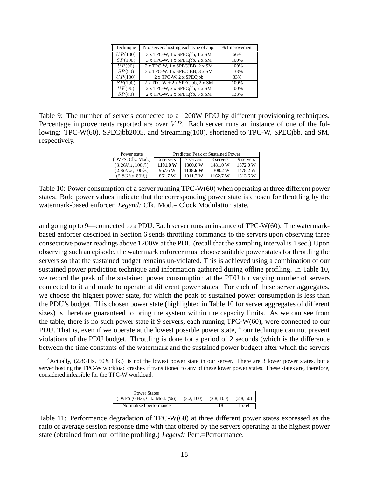| Technique           | No. servers hosting each type of app. | % Improvement |
|---------------------|---------------------------------------|---------------|
| UP(100)             | 3 x TPC-W, 1 x SPECjbb, 1 x SM        | 66%           |
| SP(100)             | 3 x TPC-W, 1 x SPECjbb, 2 x SM        | 100%          |
| $\overline{UP}(90)$ | 3 x TPC-W, 1 x SPECJBB, 2 x SM        | 100%          |
| SP(90)              | 3 x TPC-W, 1 x SPECJBB, 3 x SM        | 133%          |
| UP(100)             | 2 x TPC-W, 2 x SPECjbb                | 33%           |
| SP(100)             | $2x$ TPC-W + 2 x SPECjbb, 2 x SM      | 100%          |
| $\overline{UP}(90)$ | 2 x TPC-W, 2 x SPECjbb, 2 x SM        | 100%          |
| SP(80)              | 2 x TPC-W, 2 x SPECjbb, 3 x SM        | 133%          |

Table 9: The number of servers connected to a 1200W PDU by different provisioning techniques. Percentage improvements reported are over  $VP$ . Each server runs an instance of one of the following: TPC-W(60), SPECjbb2005, and Streaming(100), shortened to TPC-W, SPECjbb, and SM, respectively.

| Power state       | Predicted Peak of Sustained Power |           |           |           |  |
|-------------------|-----------------------------------|-----------|-----------|-----------|--|
| (DVFS, Clk. Mod.) | 6 servers                         | 7 servers | 8 servers | 9 servers |  |
| $(3.2Ghz, 100\%)$ | 1191.0 W                          | 1300.0 W  | 1481.0W   | 1672.0 W  |  |
| $(2.8Ghz, 100\%)$ | 967.6 W                           | 1138.6 W  | 1308.2 W  | 1478.2 W  |  |
| $(2.8 Ghz, 50\%)$ | 861.7W                            | 1011.7 W  | 1162.7 W  | 1313.6W   |  |

Table 10: Power consumption of a server running TPC-W(60) when operating at three different power states. Bold power values indicate that the corresponding power state is chosen for throttling by the watermark-based enforcer. *Legend:* Clk. Mod.= Clock Modulation state.

and going up to 9—connected to a PDU. Each server runs an instance of TPC-W(60). The watermarkbased enforcer described in Section 6 sends throttling commands to the servers upon observing three consecutive power readings above 1200W at the PDU (recall that the sampling interval is 1 sec.) Upon observing such an episode, the watermark enforcer must choose suitable power states for throttling the servers so that the sustained budget remains un-violated. This is achieved using a combination of our sustained power prediction technique and information gathered during offline profiling. In Table 10, we record the peak of the sustained power consumption at the PDU for varying number of servers connected to it and made to operate at different power states. For each of these server aggregates, we choose the highest power state, for which the peak of sustained power consumption is less than the PDU's budget. This chosen power state (highlighted in Table 10 for server aggregates of different sizes) is therefore guaranteed to bring the system within the capacity limits. As we can see from the table, there is no such power state if 9 servers, each running TPC-W(60), were connected to our PDU. That is, even if we operate at the lowest possible power state,  $4$  our technique can not prevent violations of the PDU budget. Throttling is done for a period of 2 seconds (which is the difference between the time constants of the watermark and the sustained power budget) after which the servers

<sup>&</sup>lt;sup>4</sup> Actually, (2.8GHz, 50% Clk.) is not the lowest power state in our server. There are 3 lower power states, but a server hosting the TPC-W workload crashes if transitioned to any of these lower power states. These states are, therefore, considered infeasible for the TPC-W workload.

| <b>Power States</b><br>(DVFS (GHz), Clk. Mod. $(\%)$   $(3.2, 100)$ | (2.8, 100) | (2.8, 50) |
|---------------------------------------------------------------------|------------|-----------|
| Normalized performance                                              | -18        | 15.69     |

Table 11: Performance degradation of TPC-W(60) at three different power states expressed as the ratio of average session response time with that offered by the servers operating at the highest power state (obtained from our offline profiling.) *Legend:* Perf.=Performance.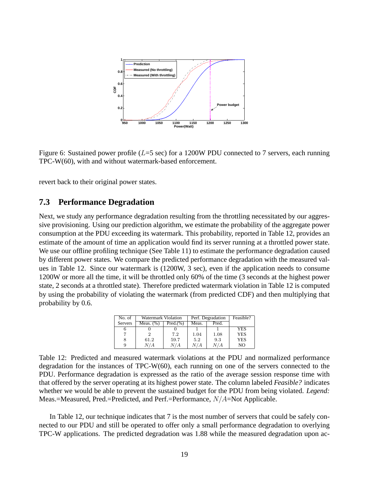

Figure 6: Sustained power profile ( $L=5$  sec) for a 1200W PDU connected to 7 servers, each running TPC-W(60), with and without watermark-based enforcement.

revert back to their original power states.

#### **7.3 Performance Degradation**

Next, we study any performance degradation resulting from the throttling necessitated by our aggressive provisioning. Using our prediction algorithm, we estimate the probability of the aggregate power consumption at the PDU exceeding its watermark. This probability, reported in Table 12, provides an estimate of the amount of time an application would find its server running at a throttled power state. We use our offline profiling technique (See Table 11) to estimate the performance degradation caused by different power states. We compare the predicted performance degradation with the measured values in Table 12. Since our watermark is (1200W, 3 sec), even if the application needs to consume 1200W or more all the time, it will be throttled only 60% of the time (3 seconds at the highest power state, 2 seconds at a throttled state). Therefore predicted watermark violation in Table 12 is computed by using the probability of violating the watermark (from predicted CDF) and then multiplying that probability by 0.6.

| No. of         | <b>Watermark Violation</b> |          | Perf. Degradation |       | Feasible?  |
|----------------|----------------------------|----------|-------------------|-------|------------|
| <b>Servers</b> | Meas. $(\%)$               | Pred.(%) | Meas.             | Pred. |            |
|                |                            |          |                   |       | <b>YES</b> |
|                |                            | 7.2      | 1.04              | 1.08  | <b>YES</b> |
|                | 61.2                       | 59.7     | 5.2               | 9.3   | YES        |
|                | N / A                      | N / A    | N/A               | N / A | NO.        |

Table 12: Predicted and measured watermark violations at the PDU and normalized performance degradation for the instances of TPC-W(60), each running on one of the servers connected to the PDU. Performance degradation is expressed as the ratio of the average session response time with that offered by the server operating at its highest power state. The column labeled *Feasible?* indicates whether we would be able to prevent the sustained budget for the PDU from being violated. *Legend:* Meas.=Measured, Pred.=Predicted, and Perf.=Performance,  $N/A$ =Not Applicable.

In Table 12, our technique indicates that 7 is the most number of servers that could be safely connected to our PDU and still be operated to offer only a small performance degradation to overlying TPC-W applications. The predicted degradation was 1.88 while the measured degradation upon ac-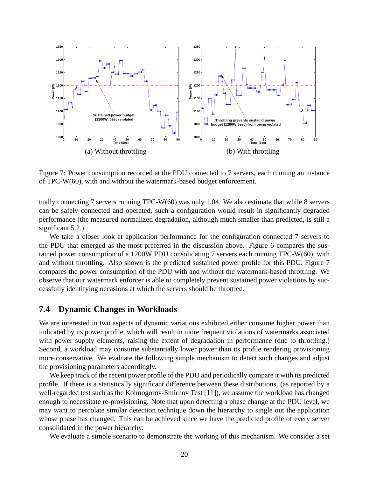

Figure 7: Power consumption recorded at the PDU connected to 7 servers, each running an instance of TPC-W(60), with and without the watermark-based budget enforcement.

tually connecting 7 servers running TPC-W(60) was only 1.04. We also estimate that while 8 servers can be safely connected and operated, such a configuration would result in significantly degraded performance (the measured normalized degradation, although much smaller than predicted, is still a significant 5.2.)

We take a closer look at application performance for the configuration connected 7 servers to the PDU that emerged as the most preferred in the discussion above. Figure 6 compares the sustained power consumption of a 1200W PDU consolidating 7 servers each running TPC-W(60), with and without throttling. Also shown is the predicted sustained power profile for this PDU. Figure 7 compares the power consumption of the PDU with and without the watermark-based throttling. We observe that our watermark enforcer is able to completely prevent sustained power violations by successfully identifying occasions at which the servers should be throttled.

### **7.4 Dynamic Changes in Workloads**

We are interested in two aspects of dynamic variations exhibited either consume higher power than indicated by its power profile, which will result in more frequent violations of watermarks associated with power supply elements, raising the extent of degradation in performance (due to throttling.) Second, a workload may consume substantially lower power than its profile rendering provisioning more conservative. We evaluate the following simple mechanism to detect such changes and adjust the provisioning parameters accordingly.

We keep track of the recent power profile of the PDU and periodically compare it with its predicted profile. If there is a statistically significant difference between these distributions, (as reported by a well-regarded test such as the Kolmogorov-Smirnov Test [11]), we assume the workload has changed enough to necessitate re-provisioning. Note that upon detecting a phase change at the PDU level, we may want to percolate similar detection technique down the hierarchy to single out the application whose phase has changed. This can be achieved since we have the predicted profile of every server consolidated in the power hierarchy.

We evaluate a simple scenario to demonstrate the working of this mechanism. We consider a set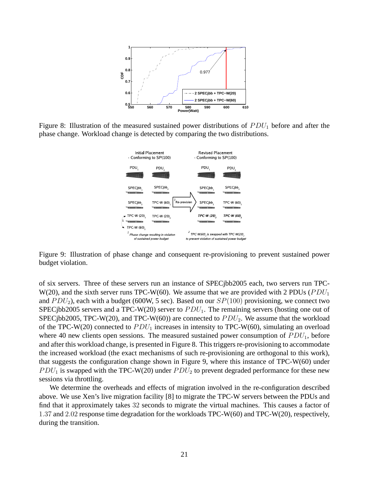

Figure 8: Illustration of the measured sustained power distributions of  $PDU_1$  before and after the phase change. Workload change is detected by comparing the two distributions.



Figure 9: Illustration of phase change and consequent re-provisioning to prevent sustained power budget violation.

of six servers. Three of these servers run an instance of SPECjbb2005 each, two servers run TPC-W(20), and the sixth server runs TPC-W(60). We assume that we are provided with 2 PDUs ( $PDU_1$ ) and  $PDU_2$ ), each with a budget (600W, 5 sec). Based on our  $SP(100)$  provisioning, we connect two SPECjbb2005 servers and a TPC-W(20) server to  $PDU_1$ . The remaining servers (hosting one out of SPECjbb2005, TPC-W(20), and TPC-W(60)) are connected to  $PDU_2$ . We assume that the workload of the TPC-W(20) connected to  $PDU_1$  increases in intensity to TPC-W(60), simulating an overload where 40 new clients open sessions. The measured sustained power consumption of  $PDU_1$ , before and after this workload change, is presented in Figure 8. This triggers re-provisioning to accommodate the increased workload (the exact mechanisms of such re-provisioning are orthogonal to this work), that suggests the configuration change shown in Figure 9, where this instance of TPC-W(60) under  $PDU_1$  is swapped with the TPC-W(20) under  $PDU_2$  to prevent degraded performance for these new sessions via throttling.

We determine the overheads and effects of migration involved in the re-configuration described above. We use Xen's live migration facility [8] to migrate the TPC-W servers between the PDUs and find that it approximately takes 32 seconds to migrate the virtual machines. This causes a factor of 1.37 and 2.02 response time degradation for the workloads TPC-W(60) and TPC-W(20), respectively, during the transition.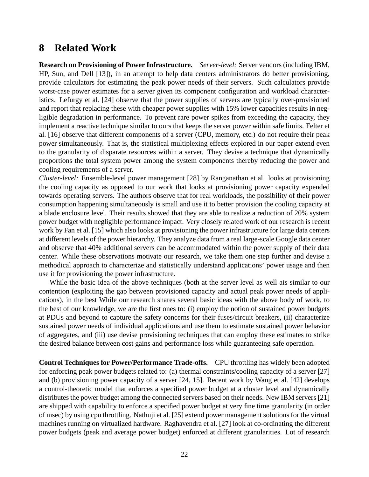## **8 Related Work**

**Research on Provisioning of Power Infrastructure.** *Server-level:* Server vendors (including IBM, HP, Sun, and Dell [13]), in an attempt to help data centers administrators do better provisioning, provide calculators for estimating the peak power needs of their servers. Such calculators provide worst-case power estimates for a server given its component configuration and workload characteristics. Lefurgy et al. [24] observe that the power supplies of servers are typically over-provisioned and report that replacing these with cheaper power supplies with 15% lower capacities results in negligible degradation in performance. To prevent rare power spikes from exceeding the capacity, they implement a reactive technique similar to ours that keeps the server power within safe limits. Felter et al. [16] observe that different components of a server (CPU, memory, etc.) do not require their peak power simultaneously. That is, the statistical multiplexing effects explored in our paper extend even to the granularity of disparate resources within a server. They devise a technique that dynamically proportions the total system power among the system components thereby reducing the power and cooling requirements of a server.

*Cluster-level:* Ensemble-level power management [28] by Ranganathan et al. looks at provisioning the cooling capacity as opposed to our work that looks at provisioning power capacity expended towards operating servers. The authors observe that for real workloads, the possibility of their power consumption happening simultaneously is small and use it to better provision the cooling capacity at a blade enclosure level. Their results showed that they are able to realize a reduction of 20% system power budget with negligible performance impact. Very closely related work of our research is recent work by Fan et al. [15] which also looks at provisioning the power infrastructure for large data centers at different levels of the power hierarchy. They analyze data from a real large-scale Google data center and observe that 40% additional servers can be accommodated within the power supply of their data center. While these observations motivate our research, we take them one step further and devise a methodical approach to characterize and statistically understand applications' power usage and then use it for provisioning the power infrastructure.

While the basic idea of the above techniques (both at the server level as well ais similar to our contention (exploiting the gap between provisioned capacity and actual peak power needs of applications), in the best While our research shares several basic ideas with the above body of work, to the best of our knowledge, we are the first ones to: (i) employ the notion of sustained power budgets at PDUs and beyond to capture the safety concerns for their fuses/circuit breakers, (ii) characterize sustained power needs of individual applications and use them to estimate sustained power behavior of aggregates, and (iii) use devise provisioning techniques that can employ these estimates to strike the desired balance between cost gains and performance loss while guaranteeing safe operation.

**Control Techniques for Power/Performance Trade-offs.** CPU throttling has widely been adopted for enforcing peak power budgets related to: (a) thermal constraints/cooling capacity of a server [27] and (b) provisioning power capacity of a server [24, 15]. Recent work by Wang et al. [42] develops a control-theoretic model that enforces a specified power budget at a cluster level and dynamically distributes the power budget among the connected servers based on their needs. New IBM servers [21] are shipped with capability to enforce a specified power budget at very fine time granularity (in order of msec) by using cpu throttling. Nathuji et al. [25] extend power management solutions for the virtual machines running on virtualized hardware. Raghavendra et al. [27] look at co-ordinating the different power budgets (peak and average power budget) enforced at different granularities. Lot of research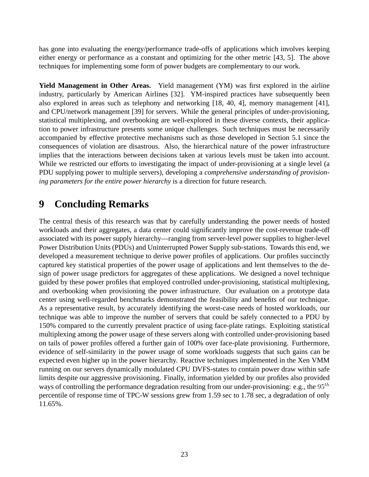has gone into evaluating the energy/performance trade-offs of applications which involves keeping either energy or performance as a constant and optimizing for the other metric [43, 5]. The above techniques for implementing some form of power budgets are complementary to our work.

**Yield Management in Other Areas.** Yield management (YM) was first explored in the airline industry, particularly by American Airlines [32]. YM-inspired practices have subsequently been also explored in areas such as telephony and networking [18, 40, 4], memory management [41], and CPU/network management [39] for servers. While the general principles of under-provisioning, statistical multiplexing, and overbooking are well-explored in these diverse contexts, their application to power infrastructure presents some unique challenges. Such techniques must be necessarily accompanied by effective protective mechanisms such as those developed in Section 5.1 since the consequences of violation are disastrous. Also, the hierarchical nature of the power infrastructure implies that the interactions between decisions taken at various levels must be taken into account. While we restricted our efforts to investigating the impact of under-provisioning at a single level (a PDU supplying power to multiple servers), developing a *comprehensive understanding of provisioning parameters for the entire power hierarchy* is a direction for future research.

## **9 Concluding Remarks**

The central thesis of this research was that by carefully understanding the power needs of hosted workloads and their aggregates, a data center could significantly improve the cost-revenue trade-off associated with its power supply hierarchy—ranging from server-level power supplies to higher-level Power Distribution Units (PDUs) and Uninterrupted Power Supply sub-stations. Towards this end, we developed a measurement technique to derive power profiles of applications. Our profiles succinctly captured key statistical properties of the power usage of applications and lent themselves to the design of power usage predictors for aggregates of these applications. We designed a novel technique guided by these power profiles that employed controlled under-provisioning, statistical multiplexing, and overbooking when provisioning the power infrastructure. Our evaluation on a prototype data center using well-regarded benchmarks demonstrated the feasibility and benefits of our technique. As a representative result, by accurately identifying the worst-case needs of hosted workloads, our technique was able to improve the number of servers that could be safely connected to a PDU by 150% compared to the currently prevalent practice of using face-plate ratings. Exploiting statistical multiplexing among the power usage of these servers along with controlled under-provisioning based on tails of power profiles offered a further gain of 100% over face-plate provisioning. Furthermore, evidence of self-similarity in the power usage of some workloads suggests that such gains can be expected even higher up in the power hierarchy. Reactive techniques implemented in the Xen VMM running on our servers dynamically modulated CPU DVFS-states to contain power draw within safe limits despite our aggressive provisioning. Finally, information yielded by our profiles also provided ways of controlling the performance degradation resulting from our under-provisioning: e.g., the  $95<sup>th</sup>$ percentile of response time of TPC-W sessions grew from 1.59 sec to 1.78 sec, a degradation of only 11.65%.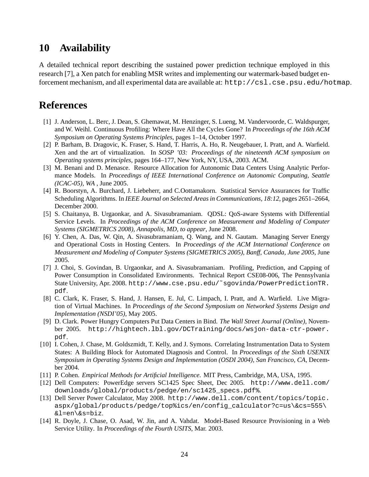## **10 Availability**

A detailed technical report describing the sustained power prediction technique employed in this research [7], a Xen patch for enabling MSR writes and implementing our watermark-based budget enforcement mechanism, and all experimental data are available at: http://csl.cse.psu.edu/hotmap.

## **References**

- [1] J. Anderson, L. Berc, J. Dean, S. Ghemawat, M. Henzinger, S. Lueng, M. Vandervoorde, C. Waldspurger, and W. Weihl. Continuous Profiling: Where Have All the Cycles Gone? In *Proceedings of the 16th ACM Symposium on Operating Systems Principles*, pages 1–14, October 1997.
- [2] P. Barham, B. Dragovic, K. Fraser, S. Hand, T. Harris, A. Ho, R. Neugebauer, I. Pratt, and A. Warfield. Xen and the art of virtualization. In *SOSP '03: Proceedings of the nineteenth ACM symposium on Operating systems principles*, pages 164–177, New York, NY, USA, 2003. ACM.
- [3] M. Benani and D. Menasce. Resource Allocation for Autonomic Data Centers Using Analytic Performance Models. In *Proceedings of IEEE International Conference on Autonomic Computing, Seattle (ICAC-05), WA* , June 2005.
- [4] R. Boorstyn, A. Burchard, J. Liebeherr, and C.Oottamakorn. Statistical Service Assurances for Traffic Scheduling Algorithms. In *IEEE Journal on Selected Areas in Communications, 18:12*, pages 2651–2664, December 2000.
- [5] S. Chaitanya, B. Urgaonkar, and A. Sivasubramaniam. QDSL: QoS-aware Systems with Differential Service Levels. In *Proceedings of the ACM Conference on Measurement and Modeling of Computer Systems (SIGMETRICS 2008), Annapolis, MD, to appear*, June 2008.
- [6] Y. Chen, A. Das, W. Qin, A. Sivasubramaniam, Q. Wang, and N. Gautam. Managing Server Energy and Operational Costs in Hosting Centers. In *Proceedings of the ACM International Conference on Measurement and Modeling of Computer Systems (SIGMETRICS 2005), Banff, Canada, June 2005*, June 2005.
- [7] J. Choi, S. Govindan, B. Urgaonkar, and A. Sivasubramaniam. Profiling, Prediction, and Capping of Power Consumption in Consolidated Environments. Technical Report CSE08-006, The Pennsylvania State University, Apr. 2008. http://www.cse.psu.edu/˜sgovinda/PowerPredictionTR. pdf.
- [8] C. Clark, K. Fraser, S. Hand, J. Hansen, E. Jul, C. Limpach, I. Pratt, and A. Warfield. Live Migration of Virtual Machines. In *Proceedings of the Second Symposium on Networked Systems Design and Implementation (NSDI'05)*, May 2005.
- [9] D. Clark. Power Hungry Computers Put Data Centers in Bind. *The Wall Street Journal (Online)*, November 2005. http://hightech.lbl.gov/DCTraining/docs/wsjon-data-ctr-power. pdf.
- [10] I. Cohen, J. Chase, M. Goldszmidt, T. Kelly, and J. Symons. Correlating Instrumentation Data to System States: A Building Block for Automated Diagnosis and Control. In *Proceedings of the Sixth USENIX Symposium in Operating Systems Design and Implementation (OSDI 2004), San Francisco, CA*, December 2004.
- [11] P. Cohen. *Empirical Methods for Artificial Intelligence*. MIT Press, Cambridge, MA, USA, 1995.
- [12] Dell Computers: PowerEdge servers SC1425 Spec Sheet, Dec 2005. http://www.dell.com/ downloads/global/products/pedge/en/sc1425\_specs.pdf%.
- [13] Dell Server Power Calculator, May 2008. http://www.dell.com/content/topics/topic. aspx/global/products/pedge/top%ics/en/config\_calculator?c=us\&cs=555\ &l=en\&s=biz.
- [14] R. Doyle, J. Chase, O. Asad, W. Jin, and A. Vahdat. Model-Based Resource Provisioning in a Web Service Utility. In *Proceedings of the Fourth USITS*, Mar. 2003.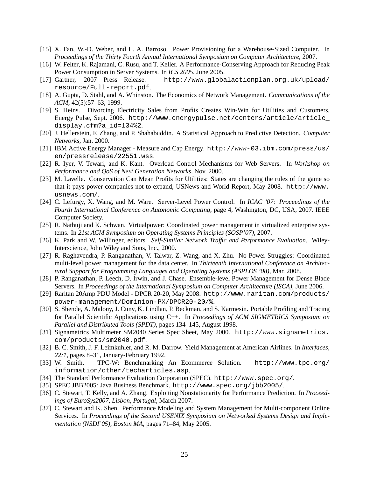- [15] X. Fan, W.-D. Weber, and L. A. Barroso. Power Provisioning for a Warehouse-Sized Computer. In *Proceedings of the Thirty Fourth Annual International Symposium on Computer Architecture*, 2007.
- [16] W. Felter, K. Rajamani, C. Rusu, and T. Keller. A Performance-Conserving Approach for Reducing Peak Power Consumption in Server Systems. In *ICS 2005*, June 2005.
- [17] Gartner, 2007 Press Release. http://www.globalactionplan.org.uk/upload/ resource/Full-report.pdf.
- [18] A. Gupta, D. Stahl, and A. Whinston. The Economics of Network Management. *Communications of the ACM*, 42(5):57–63, 1999.
- [19] S. Heins. Divorcing Electricity Sales from Profits Creates Win-Win for Utilities and Customers, Energy Pulse, Sept. 2006. http://www.energypulse.net/centers/article/article\_ display.cfm?a\_id=134%2.
- [20] J. Hellerstein, F. Zhang, and P. Shahabuddin. A Statistical Approach to Predictive Detection. *Computer Networks*, Jan. 2000.
- [21] IBM Active Energy Manager Measure and Cap Energy. http://www-03.ibm.com/press/us/ en/pressrelease/22551.wss.
- [22] R. Iyer, V. Tewari, and K. Kant. Overload Control Mechanisms for Web Servers. In *Workshop on Performance and QoS of Next Generation Networks*, Nov. 2000.
- [23] M. Lavelle. Conservation Can Mean Profits for Utilities: States are changing the rules of the game so that it pays power companies not to expand, USNews and World Report, May 2008. http://www. usnews.com/.
- [24] C. Lefurgy, X. Wang, and M. Ware. Server-Level Power Control. In *ICAC '07: Proceedings of the Fourth International Conference on Autonomic Computing*, page 4, Washington, DC, USA, 2007. IEEE Computer Society.
- [25] R. Nathuji and K. Schwan. Virtualpower: Coordinated power management in virtualized enterprise systems. In *21st ACM Symposium on Operating Systems Principles (SOSP'07)*, 2007.
- [26] K. Park and W. Willinger, editors. *Self-Similar Network Traffic and Performance Evaluation*. Wiley-Interscience, John Wiley and Sons, Inc., 2000.
- [27] R. Raghavendra, P. Ranganathan, V. Talwar, Z. Wang, and X. Zhu. No Power Struggles: Coordinated multi-level power management for the data center. In *Thirteenth International Conference on Architectural Support for Programming Languages and Operating Systems (ASPLOS '08)*, Mar. 2008.
- [28] P. Ranganathan, P. Leech, D. Irwin, and J. Chase. Ensemble-level Power Management for Dense Blade Servers. In *Proceedings of the International Symposium on Computer Architecture (ISCA)*, June 2006.
- [29] Raritan 20Amp PDU Model DPCR 20-20, May 2008. http://www.raritan.com/products/ power-management/Dominion-PX/DPCR20-20/%.
- [30] S. Shende, A. Malony, J. Cuny, K. Lindlan, P. Beckman, and S. Karmesin. Portable Profiling and Tracing for Parallel Scientific Applications using C++. In *Proceedings of ACM SIGMETRICS Symposium on Parallel and Distributed Tools (SPDT)*, pages 134–145, August 1998.
- [31] Signametrics Multimeter SM2040 Series Spec Sheet, May 2000. http://www.signametrics. com/products/sm2040.pdf.
- [32] B. C. Smith, J. F. Leimkuhler, and R. M. Darrow. Yield Management at American Airlines. In *Interfaces, 22:1*, pages 8–31, January-February 1992.
- [33] W. Smith. TPC-W: Benchmarking An Ecommerce Solution. http://www.tpc.org/ information/other/techarticles.asp.
- [34] The Standard Performance Evaluation Corporation (SPEC). http://www.spec.org/.
- [35] SPEC JBB2005: Java Business Benchmark. http://www.spec.org/jbb2005/.
- [36] C. Stewart, T. Kelly, and A. Zhang. Exploiting Nonstationarity for Performance Prediction. In *Proceedings of EuroSys2007, Lisbon, Portugal*, March 2007.
- [37] C. Stewart and K. Shen. Performance Modeling and System Management for Multi-component Online Services. In *Proceedings of the Second USENIX Symposium on Networked Systems Design and Implementation (NSDI'05), Boston MA*, pages 71–84, May 2005.